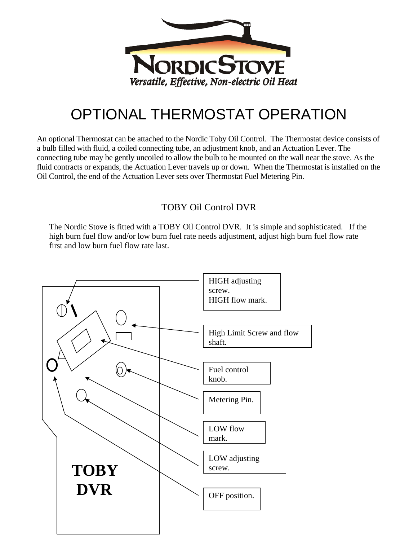

## OPTIONAL THERMOSTAT OPERATION

An optional Thermostat can be attached to the Nordic Toby Oil Control. The Thermostat device consists of a bulb filled with fluid, a coiled connecting tube, an adjustment knob, and an Actuation Lever. The connecting tube may be gently uncoiled to allow the bulb to be mounted on the wall near the stove. As the fluid contracts or expands, the Actuation Lever travels up or down. When the Thermostat is installed on the Oil Control, the end of the Actuation Lever sets over Thermostat Fuel Metering Pin.

## TOBY Oil Control DVR

The Nordic Stove is fitted with a TOBY Oil Control DVR. It is simple and sophisticated. If the high burn fuel flow and/or low burn fuel rate needs adjustment, adjust high burn fuel flow rate first and low burn fuel flow rate last.